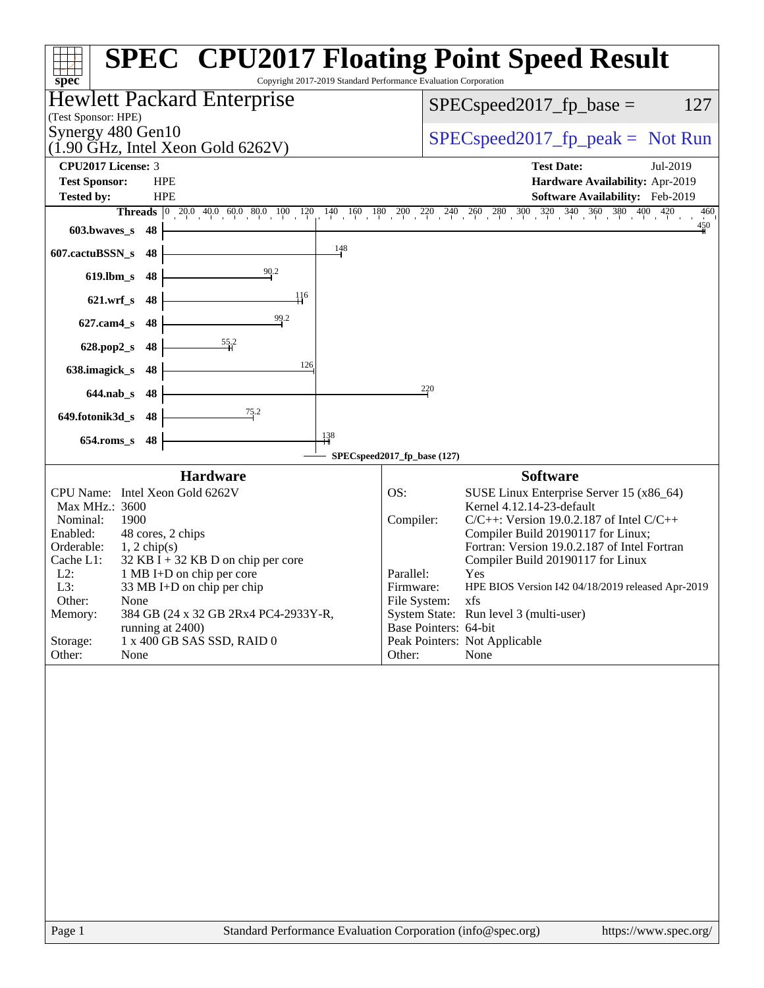| spec <sup>®</sup>               |                |                                                             |     | Copyright 2017-2019 Standard Performance Evaluation Corporation | <b>SPEC<sup>®</sup> CPU2017 Floating Point Speed Result</b>                                                                                                                        |     |  |
|---------------------------------|----------------|-------------------------------------------------------------|-----|-----------------------------------------------------------------|------------------------------------------------------------------------------------------------------------------------------------------------------------------------------------|-----|--|
| (Test Sponsor: HPE)             |                | <b>Hewlett Packard Enterprise</b>                           |     | $SPEC speed2017_fp\_base =$<br>127                              |                                                                                                                                                                                    |     |  |
| Synergy 480 Gen10               |                | $(1.90 \text{ GHz}, \text{Intel Xeon Gold } 6262 \text{V})$ |     | $SPEC speed2017rfp peak = Not Run$                              |                                                                                                                                                                                    |     |  |
| <b>CPU2017 License: 3</b>       |                |                                                             |     |                                                                 | <b>Test Date:</b><br>Jul-2019                                                                                                                                                      |     |  |
| <b>Test Sponsor:</b>            | <b>HPE</b>     |                                                             |     |                                                                 | Hardware Availability: Apr-2019                                                                                                                                                    |     |  |
| <b>Tested by:</b>               | <b>HPE</b>     |                                                             |     |                                                                 | Software Availability: Feb-2019                                                                                                                                                    |     |  |
|                                 |                |                                                             |     |                                                                 | <b>Threads</b> $\begin{bmatrix} 0 & 20.0 & 40.0 & 60.0 & 80.0 & 100 & 120 & 140 & 160 & 180 & 200 & 220 & 240 & 260 & 280 & 300 & 320 & 340 & 360 & 380 & 400 & 420 \end{bmatrix}$ | 460 |  |
| $603.bwaves$ $8$ 48             |                |                                                             |     |                                                                 |                                                                                                                                                                                    | 450 |  |
| 607.cactuBSSN_s                 | 48             |                                                             | 148 |                                                                 |                                                                                                                                                                                    |     |  |
| $619$ .lbm_s                    | 48             | 90.2                                                        |     |                                                                 |                                                                                                                                                                                    |     |  |
| 621.wrf_s 48                    |                | 116                                                         |     |                                                                 |                                                                                                                                                                                    |     |  |
| $627$ .cam $4_s$                | 48             | 99.2                                                        |     |                                                                 |                                                                                                                                                                                    |     |  |
| 628.pop2_s                      | 48             | $\frac{55.2}{4}$                                            |     |                                                                 |                                                                                                                                                                                    |     |  |
| 638.imagick_s                   | 48             | 126                                                         |     |                                                                 |                                                                                                                                                                                    |     |  |
| $644$ .nab s                    | 48             |                                                             |     | 220                                                             |                                                                                                                                                                                    |     |  |
| 649.fotonik3d_s 48              |                | $\frac{75.2}{2}$                                            |     |                                                                 |                                                                                                                                                                                    |     |  |
| $654$ .roms_s                   | 48             |                                                             | 138 |                                                                 |                                                                                                                                                                                    |     |  |
|                                 |                |                                                             |     | SPECspeed2017_fp_base (127)                                     |                                                                                                                                                                                    |     |  |
|                                 |                | <b>Hardware</b>                                             |     |                                                                 | <b>Software</b>                                                                                                                                                                    |     |  |
| CPU Name: Intel Xeon Gold 6262V |                |                                                             |     | OS:                                                             | SUSE Linux Enterprise Server 15 (x86_64)                                                                                                                                           |     |  |
| Max MHz.: 3600                  |                |                                                             |     |                                                                 | Kernel 4.12.14-23-default                                                                                                                                                          |     |  |
| Nominal:<br>1900<br>Enabled:    |                | 48 cores, 2 chips                                           |     | Compiler:                                                       | $C/C++$ : Version 19.0.2.187 of Intel $C/C++$<br>Compiler Build 20190117 for Linux;                                                                                                |     |  |
| Orderable:                      | $1, 2$ chip(s) |                                                             |     |                                                                 | Fortran: Version 19.0.2.187 of Intel Fortran                                                                                                                                       |     |  |
| Cache L1:                       |                | $32$ KB I + 32 KB D on chip per core                        |     |                                                                 | Compiler Build 20190117 for Linux                                                                                                                                                  |     |  |
| $L2$ :                          |                | 1 MB I+D on chip per core                                   |     | Parallel:                                                       | Yes                                                                                                                                                                                |     |  |
| L3:                             |                | 33 MB I+D on chip per chip                                  |     | Firmware:                                                       | HPE BIOS Version I42 04/18/2019 released Apr-2019                                                                                                                                  |     |  |
| Other:<br>None                  |                |                                                             |     | File System:                                                    | xfs                                                                                                                                                                                |     |  |
| Memory:                         |                | 384 GB (24 x 32 GB 2Rx4 PC4-2933Y-R,<br>running at 2400)    |     | Base Pointers: 64-bit                                           | System State: Run level 3 (multi-user)                                                                                                                                             |     |  |
| Storage:                        |                | 1 x 400 GB SAS SSD, RAID 0                                  |     |                                                                 | Peak Pointers: Not Applicable                                                                                                                                                      |     |  |
| Other:<br>None                  |                |                                                             |     | Other:                                                          | None                                                                                                                                                                               |     |  |
|                                 |                |                                                             |     |                                                                 |                                                                                                                                                                                    |     |  |
| Page 1                          |                | Standard Performance Evaluation Corporation (info@spec.org) |     |                                                                 | https://www.spec.org/                                                                                                                                                              |     |  |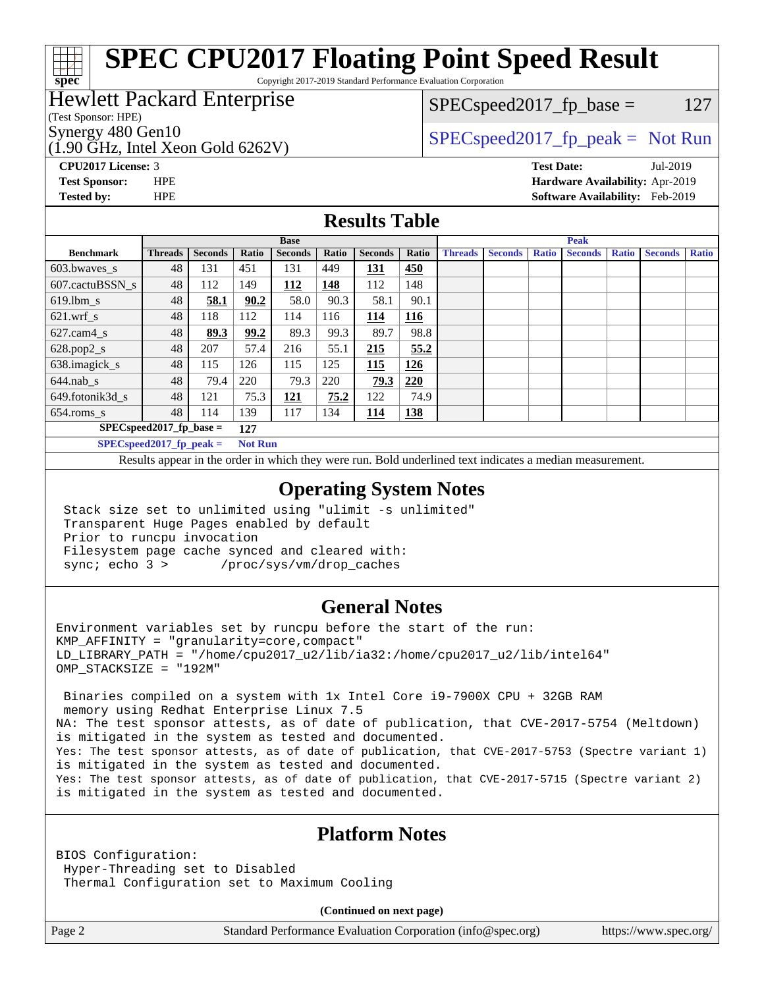# **[SPEC CPU2017 Floating Point Speed Result](http://www.spec.org/auto/cpu2017/Docs/result-fields.html#SPECCPU2017FloatingPointSpeedResult)**

Copyright 2017-2019 Standard Performance Evaluation Corporation

### Hewlett Packard Enterprise

(Test Sponsor: HPE)

**[spec](http://www.spec.org/)**

(1.90 GHz, Intel Xeon Gold 6262V)

 $SPEC speed2017_fp\_base = 127$ 

### Synergy 480 Gen10  $S^{per}$  [SPECspeed2017\\_fp\\_peak =](http://www.spec.org/auto/cpu2017/Docs/result-fields.html#SPECspeed2017fppeak) Not Run

**[CPU2017 License:](http://www.spec.org/auto/cpu2017/Docs/result-fields.html#CPU2017License)** 3 **[Test Date:](http://www.spec.org/auto/cpu2017/Docs/result-fields.html#TestDate)** Jul-2019 **[Test Sponsor:](http://www.spec.org/auto/cpu2017/Docs/result-fields.html#TestSponsor)** HPE **[Hardware Availability:](http://www.spec.org/auto/cpu2017/Docs/result-fields.html#HardwareAvailability)** Apr-2019 **[Tested by:](http://www.spec.org/auto/cpu2017/Docs/result-fields.html#Testedby)** HPE **[Software Availability:](http://www.spec.org/auto/cpu2017/Docs/result-fields.html#SoftwareAvailability)** Feb-2019

### **[Results Table](http://www.spec.org/auto/cpu2017/Docs/result-fields.html#ResultsTable)**

|                                   | <b>Base</b>    |                |                |                |       | <b>Peak</b>    |            |                |                |              |                |              |                |              |
|-----------------------------------|----------------|----------------|----------------|----------------|-------|----------------|------------|----------------|----------------|--------------|----------------|--------------|----------------|--------------|
| <b>Benchmark</b>                  | <b>Threads</b> | <b>Seconds</b> | Ratio          | <b>Seconds</b> | Ratio | <b>Seconds</b> | Ratio      | <b>Threads</b> | <b>Seconds</b> | <b>Ratio</b> | <b>Seconds</b> | <b>Ratio</b> | <b>Seconds</b> | <b>Ratio</b> |
| 603.bwayes_s                      | 48             | 131            | 451            | 131            | 449   | <u>131</u>     | 450        |                |                |              |                |              |                |              |
| 607.cactuBSSN s                   | 48             | 112            | 149            | 112            | 148   | 112            | 148        |                |                |              |                |              |                |              |
| $619.$ lbm_s                      | 48             | 58.1           | 90.2           | 58.0           | 90.3  | 58.1           | 90.1       |                |                |              |                |              |                |              |
| $621.wrf$ s                       | 48             | 118            | 112            | 114            | 116   | 114            | <u>116</u> |                |                |              |                |              |                |              |
| $627$ .cam $4 \text{ s}$          | 48             | 89.3           | 99.2           | 89.3           | 99.3  | 89.7           | 98.8       |                |                |              |                |              |                |              |
| $628.pop2_s$                      | 48             | 207            | 57.4           | 216            | 55.1  | 215            | 55.2       |                |                |              |                |              |                |              |
| 638.imagick_s                     | 48             | 115            | 126            | 115            | 125   | 115            | 126        |                |                |              |                |              |                |              |
| $644$ .nab s                      | 48             | 79.4           | 220            | 79.3           | 220   | 79.3           | 220        |                |                |              |                |              |                |              |
| 649.fotonik3d s                   | 48             | 121            | 75.3           | 121            | 75.2  | 122            | 74.9       |                |                |              |                |              |                |              |
| $654$ .roms s                     | 48             | 114            | 139            | 117            | 134   | 114            | 138        |                |                |              |                |              |                |              |
| $SPEC speed2017$ fp base =<br>127 |                |                |                |                |       |                |            |                |                |              |                |              |                |              |
| $SPECspeed2017_fp\_peak =$        |                |                | <b>Not Run</b> |                |       |                |            |                |                |              |                |              |                |              |

Results appear in the [order in which they were run.](http://www.spec.org/auto/cpu2017/Docs/result-fields.html#RunOrder) Bold underlined text [indicates a median measurement](http://www.spec.org/auto/cpu2017/Docs/result-fields.html#Median).

### **[Operating System Notes](http://www.spec.org/auto/cpu2017/Docs/result-fields.html#OperatingSystemNotes)**

 Stack size set to unlimited using "ulimit -s unlimited" Transparent Huge Pages enabled by default Prior to runcpu invocation Filesystem page cache synced and cleared with: sync; echo 3 > /proc/sys/vm/drop\_caches

### **[General Notes](http://www.spec.org/auto/cpu2017/Docs/result-fields.html#GeneralNotes)**

Environment variables set by runcpu before the start of the run: KMP\_AFFINITY = "granularity=core,compact" LD\_LIBRARY\_PATH = "/home/cpu2017\_u2/lib/ia32:/home/cpu2017\_u2/lib/intel64" OMP\_STACKSIZE = "192M"

 Binaries compiled on a system with 1x Intel Core i9-7900X CPU + 32GB RAM memory using Redhat Enterprise Linux 7.5 NA: The test sponsor attests, as of date of publication, that CVE-2017-5754 (Meltdown) is mitigated in the system as tested and documented. Yes: The test sponsor attests, as of date of publication, that CVE-2017-5753 (Spectre variant 1) is mitigated in the system as tested and documented. Yes: The test sponsor attests, as of date of publication, that CVE-2017-5715 (Spectre variant 2) is mitigated in the system as tested and documented.

### **[Platform Notes](http://www.spec.org/auto/cpu2017/Docs/result-fields.html#PlatformNotes)**

BIOS Configuration: Hyper-Threading set to Disabled Thermal Configuration set to Maximum Cooling

**(Continued on next page)**

Page 2 Standard Performance Evaluation Corporation [\(info@spec.org\)](mailto:info@spec.org) <https://www.spec.org/>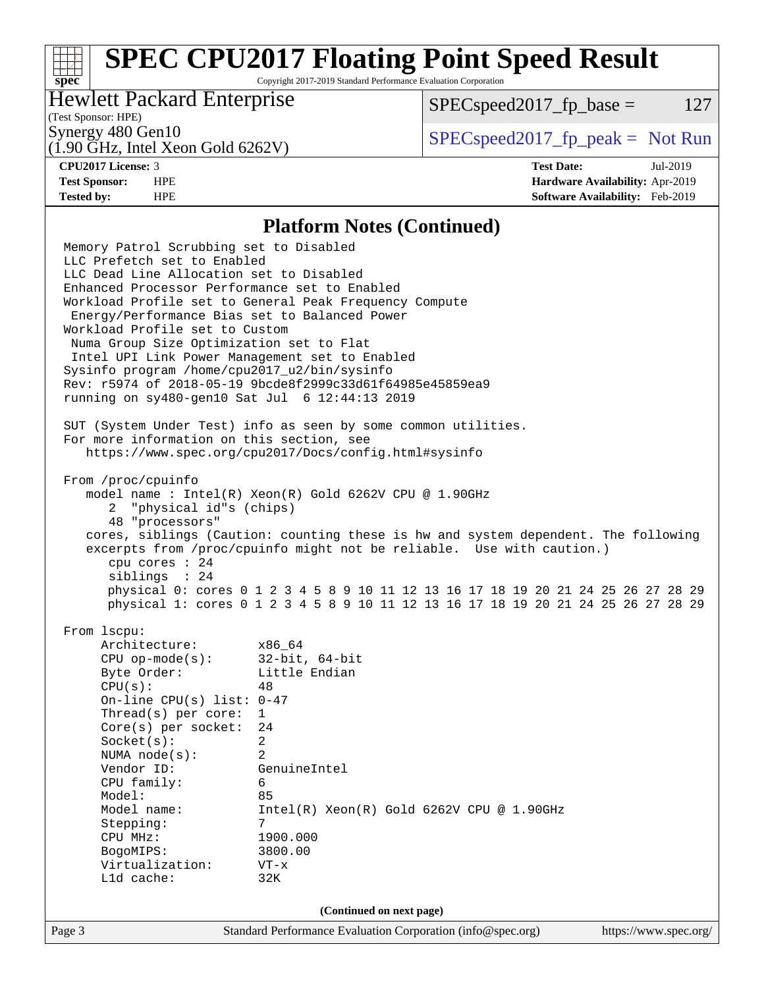# **[SPEC CPU2017 Floating Point Speed Result](http://www.spec.org/auto/cpu2017/Docs/result-fields.html#SPECCPU2017FloatingPointSpeedResult)**

Copyright 2017-2019 Standard Performance Evaluation Corporation

### Hewlett Packard Enterprise

 $SPEC speed2017_fp\_base = 127$ 

### (Test Sponsor: HPE)

(1.90 GHz, Intel Xeon Gold 6262V)

Synergy 480 Gen10  $S^{perg}$  [SPECspeed2017\\_fp\\_peak =](http://www.spec.org/auto/cpu2017/Docs/result-fields.html#SPECspeed2017fppeak) Not Run

**[spec](http://www.spec.org/)**

**[CPU2017 License:](http://www.spec.org/auto/cpu2017/Docs/result-fields.html#CPU2017License)** 3 **[Test Date:](http://www.spec.org/auto/cpu2017/Docs/result-fields.html#TestDate)** Jul-2019 **[Test Sponsor:](http://www.spec.org/auto/cpu2017/Docs/result-fields.html#TestSponsor)** HPE **[Hardware Availability:](http://www.spec.org/auto/cpu2017/Docs/result-fields.html#HardwareAvailability)** Apr-2019 **[Tested by:](http://www.spec.org/auto/cpu2017/Docs/result-fields.html#Testedby)** HPE **[Software Availability:](http://www.spec.org/auto/cpu2017/Docs/result-fields.html#SoftwareAvailability)** Feb-2019

### **[Platform Notes \(Continued\)](http://www.spec.org/auto/cpu2017/Docs/result-fields.html#PlatformNotes)**

Page 3 Standard Performance Evaluation Corporation [\(info@spec.org\)](mailto:info@spec.org) <https://www.spec.org/> Memory Patrol Scrubbing set to Disabled LLC Prefetch set to Enabled LLC Dead Line Allocation set to Disabled Enhanced Processor Performance set to Enabled Workload Profile set to General Peak Frequency Compute Energy/Performance Bias set to Balanced Power Workload Profile set to Custom Numa Group Size Optimization set to Flat Intel UPI Link Power Management set to Enabled Sysinfo program /home/cpu2017\_u2/bin/sysinfo Rev: r5974 of 2018-05-19 9bcde8f2999c33d61f64985e45859ea9 running on sy480-gen10 Sat Jul 6 12:44:13 2019 SUT (System Under Test) info as seen by some common utilities. For more information on this section, see <https://www.spec.org/cpu2017/Docs/config.html#sysinfo> From /proc/cpuinfo model name : Intel(R) Xeon(R) Gold 6262V CPU @ 1.90GHz 2 "physical id"s (chips) 48 "processors" cores, siblings (Caution: counting these is hw and system dependent. The following excerpts from /proc/cpuinfo might not be reliable. Use with caution.) cpu cores : 24 siblings : 24 physical 0: cores 0 1 2 3 4 5 8 9 10 11 12 13 16 17 18 19 20 21 24 25 26 27 28 29 physical 1: cores 0 1 2 3 4 5 8 9 10 11 12 13 16 17 18 19 20 21 24 25 26 27 28 29 From lscpu: Architecture: x86\_64 CPU op-mode(s): 32-bit, 64-bit Byte Order: Little Endian  $CPU(s):$  48 On-line CPU(s) list: 0-47 Thread(s) per core: 1 Core(s) per socket: 24 Socket(s): 2 NUMA node(s): 2 Vendor ID: GenuineIntel CPU family: 6 Model: 85 Model name: Intel(R) Xeon(R) Gold 6262V CPU @ 1.90GHz Stepping: 7 CPU MHz: 1900.000 BogoMIPS: 3800.00 Virtualization: VT-x L1d cache: 32K **(Continued on next page)**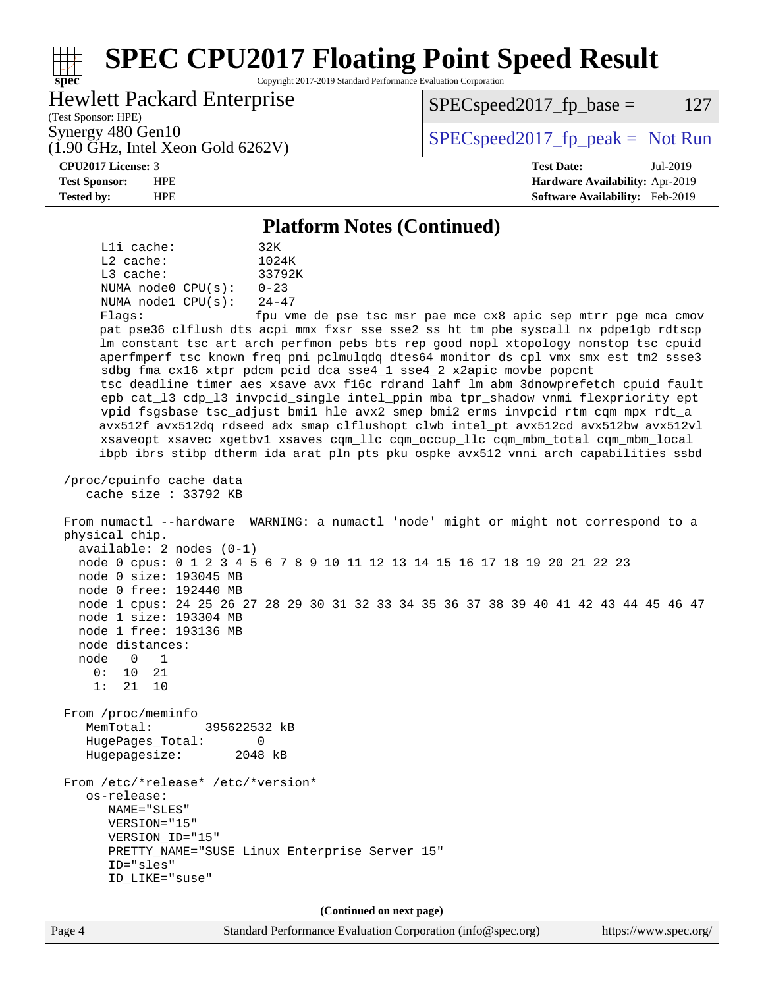### Page 4 Standard Performance Evaluation Corporation [\(info@spec.org\)](mailto:info@spec.org) <https://www.spec.org/> **[spec](http://www.spec.org/) [SPEC CPU2017 Floating Point Speed Result](http://www.spec.org/auto/cpu2017/Docs/result-fields.html#SPECCPU2017FloatingPointSpeedResult)** Copyright 2017-2019 Standard Performance Evaluation Corporation (Test Sponsor: HPE) Hewlett Packard Enterprise (1.90 GHz, Intel Xeon Gold 6262V) Synergy 480 Gen10  $S^{perg}$  [SPECspeed2017\\_fp\\_peak =](http://www.spec.org/auto/cpu2017/Docs/result-fields.html#SPECspeed2017fppeak) Not Run  $SPEC speed2017_fp\_base = 127$ **[CPU2017 License:](http://www.spec.org/auto/cpu2017/Docs/result-fields.html#CPU2017License)** 3 **[Test Date:](http://www.spec.org/auto/cpu2017/Docs/result-fields.html#TestDate)** Jul-2019 **[Test Sponsor:](http://www.spec.org/auto/cpu2017/Docs/result-fields.html#TestSponsor)** HPE **[Hardware Availability:](http://www.spec.org/auto/cpu2017/Docs/result-fields.html#HardwareAvailability)** Apr-2019 **[Tested by:](http://www.spec.org/auto/cpu2017/Docs/result-fields.html#Testedby)** HPE **[Software Availability:](http://www.spec.org/auto/cpu2017/Docs/result-fields.html#SoftwareAvailability)** Feb-2019 **[Platform Notes \(Continued\)](http://www.spec.org/auto/cpu2017/Docs/result-fields.html#PlatformNotes)** L1i cache: 32K L2 cache: 1024K L3 cache: 33792K NUMA node0 CPU(s): 0-23 NUMA node1 CPU(s): 24-47 Flags: fpu vme de pse tsc msr pae mce cx8 apic sep mtrr pge mca cmov pat pse36 clflush dts acpi mmx fxsr sse sse2 ss ht tm pbe syscall nx pdpe1gb rdtscp lm constant\_tsc art arch\_perfmon pebs bts rep\_good nopl xtopology nonstop\_tsc cpuid aperfmperf tsc\_known\_freq pni pclmulqdq dtes64 monitor ds\_cpl vmx smx est tm2 ssse3 sdbg fma cx16 xtpr pdcm pcid dca sse4\_1 sse4\_2 x2apic movbe popcnt tsc\_deadline\_timer aes xsave avx f16c rdrand lahf\_lm abm 3dnowprefetch cpuid\_fault epb cat\_l3 cdp\_l3 invpcid\_single intel\_ppin mba tpr\_shadow vnmi flexpriority ept vpid fsgsbase tsc\_adjust bmi1 hle avx2 smep bmi2 erms invpcid rtm cqm mpx rdt\_a avx512f avx512dq rdseed adx smap clflushopt clwb intel\_pt avx512cd avx512bw avx512vl xsaveopt xsavec xgetbv1 xsaves cqm\_llc cqm\_occup\_llc cqm\_mbm\_total cqm\_mbm\_local ibpb ibrs stibp dtherm ida arat pln pts pku ospke avx512\_vnni arch\_capabilities ssbd /proc/cpuinfo cache data cache size : 33792 KB From numactl --hardware WARNING: a numactl 'node' might or might not correspond to a physical chip. available: 2 nodes (0-1) node 0 cpus: 0 1 2 3 4 5 6 7 8 9 10 11 12 13 14 15 16 17 18 19 20 21 22 23 node 0 size: 193045 MB node 0 free: 192440 MB node 1 cpus: 24 25 26 27 28 29 30 31 32 33 34 35 36 37 38 39 40 41 42 43 44 45 46 47 node 1 size: 193304 MB node 1 free: 193136 MB node distances: node 0 1  $0: 10 21$  1: 21 10 From /proc/meminfo MemTotal: 395622532 kB HugePages\_Total: 0 Hugepagesize: 2048 kB From /etc/\*release\* /etc/\*version\* os-release: NAME="SLES" VERSION="15" VERSION\_ID="15" PRETTY\_NAME="SUSE Linux Enterprise Server 15" ID="sles" ID\_LIKE="suse" **(Continued on next page)**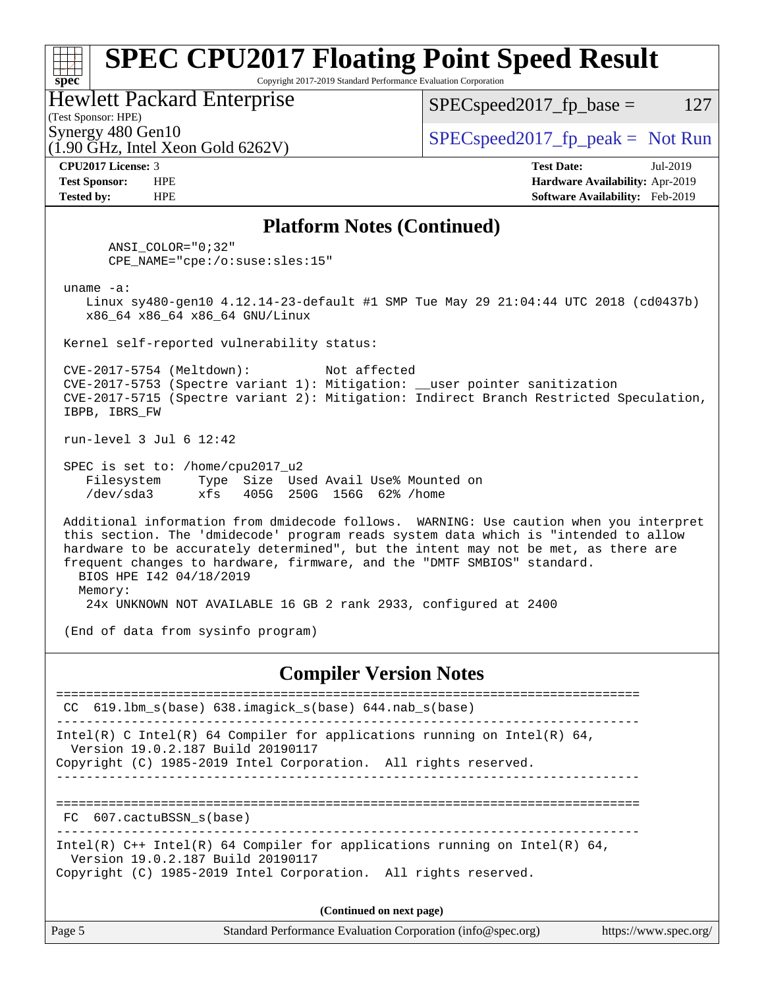### **[spec](http://www.spec.org/) [SPEC CPU2017 Floating Point Speed Result](http://www.spec.org/auto/cpu2017/Docs/result-fields.html#SPECCPU2017FloatingPointSpeedResult)** Copyright 2017-2019 Standard Performance Evaluation Corporation (Test Sponsor: HPE) Hewlett Packard Enterprise (1.90 GHz, Intel Xeon Gold 6262V) Synergy 480 Gen10  $SPEC speed2017$  fp\_peak = Not Run  $SPEC speed2017_fp\_base = 127$ **[CPU2017 License:](http://www.spec.org/auto/cpu2017/Docs/result-fields.html#CPU2017License)** 3 **[Test Date:](http://www.spec.org/auto/cpu2017/Docs/result-fields.html#TestDate)** Jul-2019 **[Test Sponsor:](http://www.spec.org/auto/cpu2017/Docs/result-fields.html#TestSponsor)** HPE **[Hardware Availability:](http://www.spec.org/auto/cpu2017/Docs/result-fields.html#HardwareAvailability)** Apr-2019 **[Tested by:](http://www.spec.org/auto/cpu2017/Docs/result-fields.html#Testedby)** HPE **[Software Availability:](http://www.spec.org/auto/cpu2017/Docs/result-fields.html#SoftwareAvailability)** Feb-2019 **[Platform Notes \(Continued\)](http://www.spec.org/auto/cpu2017/Docs/result-fields.html#PlatformNotes)** ANSI\_COLOR="0;32" CPE\_NAME="cpe:/o:suse:sles:15" uname -a: Linux sy480-gen10 4.12.14-23-default #1 SMP Tue May 29 21:04:44 UTC 2018 (cd0437b) x86\_64 x86\_64 x86\_64 GNU/Linux Kernel self-reported vulnerability status: CVE-2017-5754 (Meltdown): Not affected CVE-2017-5753 (Spectre variant 1): Mitigation: \_\_user pointer sanitization CVE-2017-5715 (Spectre variant 2): Mitigation: Indirect Branch Restricted Speculation, IBPB, IBRS\_FW run-level 3 Jul 6 12:42 SPEC is set to: /home/cpu2017\_u2 Filesystem Type Size Used Avail Use% Mounted on /dev/sda3 xfs 405G 250G 156G 62% /home Additional information from dmidecode follows. WARNING: Use caution when you interpret this section. The 'dmidecode' program reads system data which is "intended to allow hardware to be accurately determined", but the intent may not be met, as there are frequent changes to hardware, firmware, and the "DMTF SMBIOS" standard. BIOS HPE I42 04/18/2019 Memory: 24x UNKNOWN NOT AVAILABLE 16 GB 2 rank 2933, configured at 2400 (End of data from sysinfo program) **[Compiler Version Notes](http://www.spec.org/auto/cpu2017/Docs/result-fields.html#CompilerVersionNotes)** ============================================================================== CC 619.lbm\_s(base) 638.imagick\_s(base) 644.nab\_s(base) ------------------------------------------------------------------------------ Intel(R) C Intel(R) 64 Compiler for applications running on Intel(R)  $64$ , Version 19.0.2.187 Build 20190117 Copyright (C) 1985-2019 Intel Corporation. All rights reserved. ------------------------------------------------------------------------------ ============================================================================== FC 607.cactuBSSN\_s(base) ------------------------------------------------------------------------------ Intel(R) C++ Intel(R) 64 Compiler for applications running on Intel(R) 64, Version 19.0.2.187 Build 20190117 Copyright (C) 1985-2019 Intel Corporation. All rights reserved. **(Continued on next page)**

Page 5 Standard Performance Evaluation Corporation [\(info@spec.org\)](mailto:info@spec.org) <https://www.spec.org/>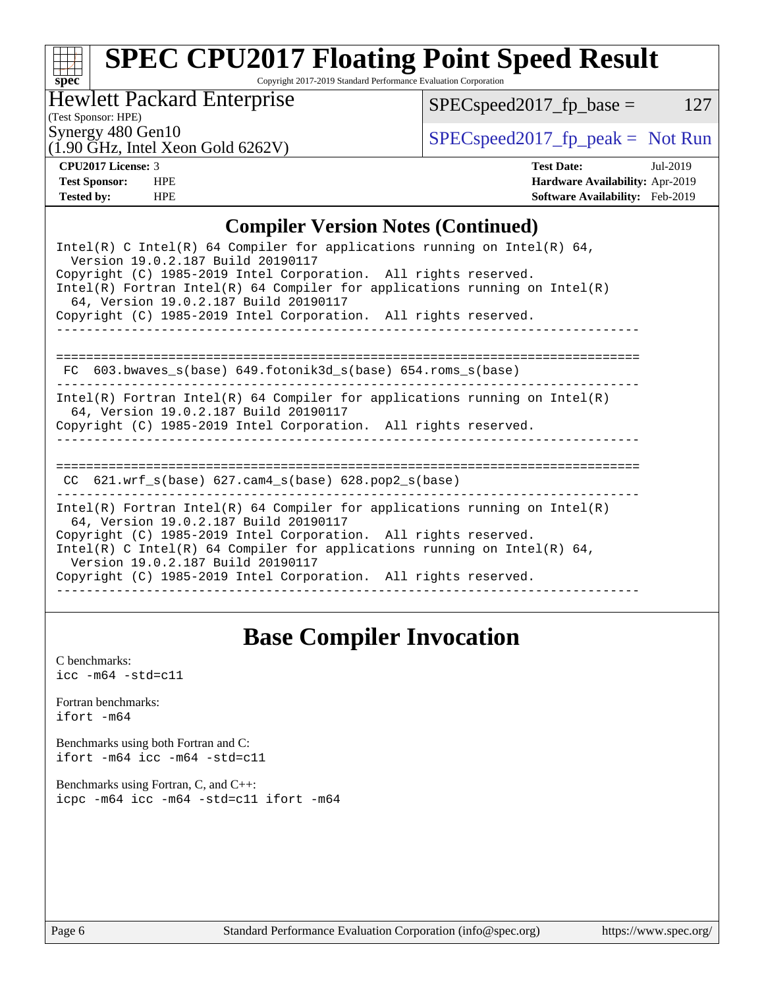# **[spec](http://www.spec.org/)**

# **[SPEC CPU2017 Floating Point Speed Result](http://www.spec.org/auto/cpu2017/Docs/result-fields.html#SPECCPU2017FloatingPointSpeedResult)**

Copyright 2017-2019 Standard Performance Evaluation Corporation

Hewlett Packard Enterprise

 $SPEC speed2017_fp\_base = 127$ 

(Test Sponsor: HPE)

Synergy 480 Gen10<br>(1.00 GHz, Intel Year Gold 6262V)  $\begin{array}{c} \text{SPEC speed2017\_fp\_peak = Not Run} \end{array}$ 

# (1.90 GHz, Intel Xeon Gold 6262V)

**[CPU2017 License:](http://www.spec.org/auto/cpu2017/Docs/result-fields.html#CPU2017License)** 3 **[Test Date:](http://www.spec.org/auto/cpu2017/Docs/result-fields.html#TestDate)** Jul-2019 **[Test Sponsor:](http://www.spec.org/auto/cpu2017/Docs/result-fields.html#TestSponsor)** HPE **[Hardware Availability:](http://www.spec.org/auto/cpu2017/Docs/result-fields.html#HardwareAvailability)** Apr-2019 **[Tested by:](http://www.spec.org/auto/cpu2017/Docs/result-fields.html#Testedby)** HPE **[Software Availability:](http://www.spec.org/auto/cpu2017/Docs/result-fields.html#SoftwareAvailability)** Feb-2019

### **[Compiler Version Notes \(Continued\)](http://www.spec.org/auto/cpu2017/Docs/result-fields.html#CompilerVersionNotes)**

| Intel(R) C Intel(R) 64 Compiler for applications running on Intel(R) 64,<br>Version 19.0.2.187 Build 20190117<br>Copyright (C) 1985-2019 Intel Corporation. All rights reserved.<br>$Intel(R)$ Fortran Intel(R) 64 Compiler for applications running on Intel(R)<br>64, Version 19.0.2.187 Build 20190117<br>Copyright (C) 1985-2019 Intel Corporation. All rights reserved. |  |  |  |  |  |  |  |  |
|------------------------------------------------------------------------------------------------------------------------------------------------------------------------------------------------------------------------------------------------------------------------------------------------------------------------------------------------------------------------------|--|--|--|--|--|--|--|--|
|                                                                                                                                                                                                                                                                                                                                                                              |  |  |  |  |  |  |  |  |
|                                                                                                                                                                                                                                                                                                                                                                              |  |  |  |  |  |  |  |  |
|                                                                                                                                                                                                                                                                                                                                                                              |  |  |  |  |  |  |  |  |
| FC $603.bwaves$ s(base) $649.fotonik3d$ s(base) $654.roms$ s(base)                                                                                                                                                                                                                                                                                                           |  |  |  |  |  |  |  |  |
| Intel(R) Fortran Intel(R) 64 Compiler for applications running on Intel(R)<br>64, Version 19.0.2.187 Build 20190117                                                                                                                                                                                                                                                          |  |  |  |  |  |  |  |  |
| Copyright (C) 1985-2019 Intel Corporation. All rights reserved.                                                                                                                                                                                                                                                                                                              |  |  |  |  |  |  |  |  |
|                                                                                                                                                                                                                                                                                                                                                                              |  |  |  |  |  |  |  |  |
|                                                                                                                                                                                                                                                                                                                                                                              |  |  |  |  |  |  |  |  |
| $621.wrf\_s(base)$ $627.cam4_s(base)$ $628.pop2_s(base)$<br>CC.                                                                                                                                                                                                                                                                                                              |  |  |  |  |  |  |  |  |
| Intel(R) Fortran Intel(R) 64 Compiler for applications running on Intel(R)<br>64, Version 19.0.2.187 Build 20190117                                                                                                                                                                                                                                                          |  |  |  |  |  |  |  |  |
| Copyright (C) 1985-2019 Intel Corporation. All rights reserved.                                                                                                                                                                                                                                                                                                              |  |  |  |  |  |  |  |  |
| Intel(R) C Intel(R) 64 Compiler for applications running on Intel(R) 64,<br>Version 19.0.2.187 Build 20190117                                                                                                                                                                                                                                                                |  |  |  |  |  |  |  |  |
| Copyright (C) 1985-2019 Intel Corporation. All rights reserved.                                                                                                                                                                                                                                                                                                              |  |  |  |  |  |  |  |  |
|                                                                                                                                                                                                                                                                                                                                                                              |  |  |  |  |  |  |  |  |

## **[Base Compiler Invocation](http://www.spec.org/auto/cpu2017/Docs/result-fields.html#BaseCompilerInvocation)**

[C benchmarks](http://www.spec.org/auto/cpu2017/Docs/result-fields.html#Cbenchmarks):  $\text{icc}$  -m64 -std=c11 [Fortran benchmarks](http://www.spec.org/auto/cpu2017/Docs/result-fields.html#Fortranbenchmarks): [ifort -m64](http://www.spec.org/cpu2017/results/res2019q3/cpu2017-20190709-16095.flags.html#user_FCbase_intel_ifort_64bit_24f2bb282fbaeffd6157abe4f878425411749daecae9a33200eee2bee2fe76f3b89351d69a8130dd5949958ce389cf37ff59a95e7a40d588e8d3a57e0c3fd751) [Benchmarks using both Fortran and C](http://www.spec.org/auto/cpu2017/Docs/result-fields.html#BenchmarksusingbothFortranandC): [ifort -m64](http://www.spec.org/cpu2017/results/res2019q3/cpu2017-20190709-16095.flags.html#user_CC_FCbase_intel_ifort_64bit_24f2bb282fbaeffd6157abe4f878425411749daecae9a33200eee2bee2fe76f3b89351d69a8130dd5949958ce389cf37ff59a95e7a40d588e8d3a57e0c3fd751) [icc -m64 -std=c11](http://www.spec.org/cpu2017/results/res2019q3/cpu2017-20190709-16095.flags.html#user_CC_FCbase_intel_icc_64bit_c11_33ee0cdaae7deeeab2a9725423ba97205ce30f63b9926c2519791662299b76a0318f32ddfffdc46587804de3178b4f9328c46fa7c2b0cd779d7a61945c91cd35) [Benchmarks using Fortran, C, and C++:](http://www.spec.org/auto/cpu2017/Docs/result-fields.html#BenchmarksusingFortranCandCXX) [icpc -m64](http://www.spec.org/cpu2017/results/res2019q3/cpu2017-20190709-16095.flags.html#user_CC_CXX_FCbase_intel_icpc_64bit_4ecb2543ae3f1412ef961e0650ca070fec7b7afdcd6ed48761b84423119d1bf6bdf5cad15b44d48e7256388bc77273b966e5eb805aefd121eb22e9299b2ec9d9) [icc -m64 -std=c11](http://www.spec.org/cpu2017/results/res2019q3/cpu2017-20190709-16095.flags.html#user_CC_CXX_FCbase_intel_icc_64bit_c11_33ee0cdaae7deeeab2a9725423ba97205ce30f63b9926c2519791662299b76a0318f32ddfffdc46587804de3178b4f9328c46fa7c2b0cd779d7a61945c91cd35) [ifort -m64](http://www.spec.org/cpu2017/results/res2019q3/cpu2017-20190709-16095.flags.html#user_CC_CXX_FCbase_intel_ifort_64bit_24f2bb282fbaeffd6157abe4f878425411749daecae9a33200eee2bee2fe76f3b89351d69a8130dd5949958ce389cf37ff59a95e7a40d588e8d3a57e0c3fd751)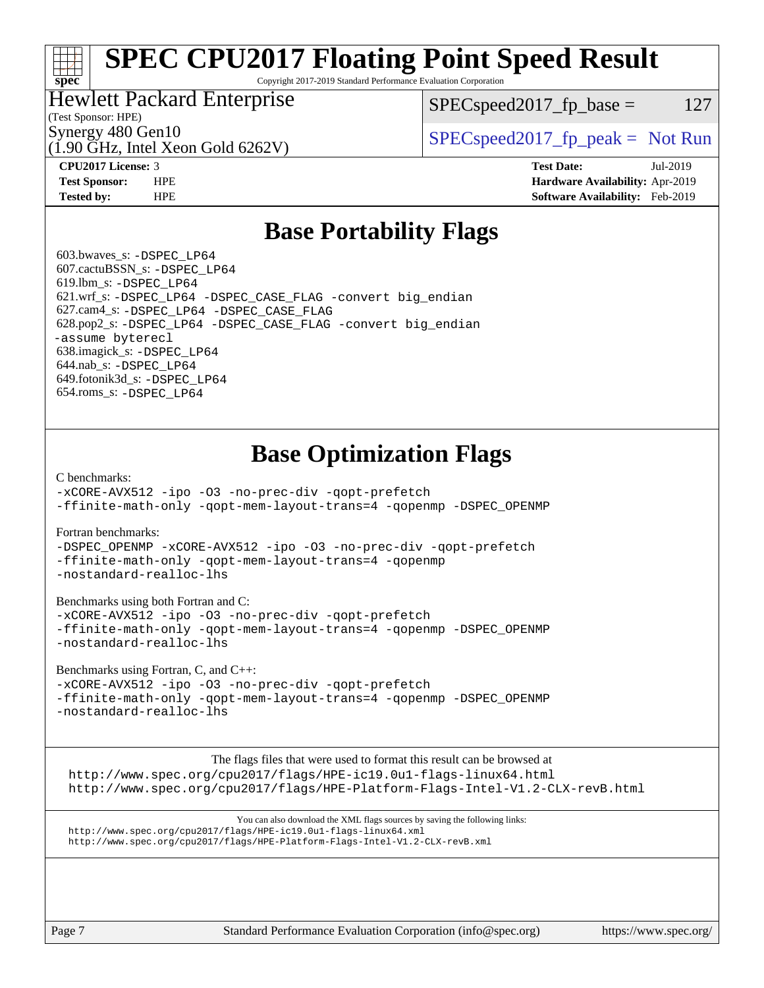# **[SPEC CPU2017 Floating Point Speed Result](http://www.spec.org/auto/cpu2017/Docs/result-fields.html#SPECCPU2017FloatingPointSpeedResult)**

Copyright 2017-2019 Standard Performance Evaluation Corporation

### Hewlett Packard Enterprise

 $SPEC speed2017_fp\_base = 127$ 

### (Test Sponsor: HPE)

**[spec](http://www.spec.org/)**

(1.90 GHz, Intel Xeon Gold 6262V)

Synergy 480 Gen10  $S^{per}$  [SPECspeed2017\\_fp\\_peak =](http://www.spec.org/auto/cpu2017/Docs/result-fields.html#SPECspeed2017fppeak) Not Run

**[CPU2017 License:](http://www.spec.org/auto/cpu2017/Docs/result-fields.html#CPU2017License)** 3 **[Test Date:](http://www.spec.org/auto/cpu2017/Docs/result-fields.html#TestDate)** Jul-2019 **[Test Sponsor:](http://www.spec.org/auto/cpu2017/Docs/result-fields.html#TestSponsor)** HPE **[Hardware Availability:](http://www.spec.org/auto/cpu2017/Docs/result-fields.html#HardwareAvailability)** Apr-2019 **[Tested by:](http://www.spec.org/auto/cpu2017/Docs/result-fields.html#Testedby)** HPE **[Software Availability:](http://www.spec.org/auto/cpu2017/Docs/result-fields.html#SoftwareAvailability)** Feb-2019

### **[Base Portability Flags](http://www.spec.org/auto/cpu2017/Docs/result-fields.html#BasePortabilityFlags)**

 603.bwaves\_s: [-DSPEC\\_LP64](http://www.spec.org/cpu2017/results/res2019q3/cpu2017-20190709-16095.flags.html#suite_basePORTABILITY603_bwaves_s_DSPEC_LP64) 607.cactuBSSN\_s: [-DSPEC\\_LP64](http://www.spec.org/cpu2017/results/res2019q3/cpu2017-20190709-16095.flags.html#suite_basePORTABILITY607_cactuBSSN_s_DSPEC_LP64) 619.lbm\_s: [-DSPEC\\_LP64](http://www.spec.org/cpu2017/results/res2019q3/cpu2017-20190709-16095.flags.html#suite_basePORTABILITY619_lbm_s_DSPEC_LP64) 621.wrf\_s: [-DSPEC\\_LP64](http://www.spec.org/cpu2017/results/res2019q3/cpu2017-20190709-16095.flags.html#suite_basePORTABILITY621_wrf_s_DSPEC_LP64) [-DSPEC\\_CASE\\_FLAG](http://www.spec.org/cpu2017/results/res2019q3/cpu2017-20190709-16095.flags.html#b621.wrf_s_baseCPORTABILITY_DSPEC_CASE_FLAG) [-convert big\\_endian](http://www.spec.org/cpu2017/results/res2019q3/cpu2017-20190709-16095.flags.html#user_baseFPORTABILITY621_wrf_s_convert_big_endian_c3194028bc08c63ac5d04de18c48ce6d347e4e562e8892b8bdbdc0214820426deb8554edfa529a3fb25a586e65a3d812c835984020483e7e73212c4d31a38223) 627.cam4\_s: [-DSPEC\\_LP64](http://www.spec.org/cpu2017/results/res2019q3/cpu2017-20190709-16095.flags.html#suite_basePORTABILITY627_cam4_s_DSPEC_LP64) [-DSPEC\\_CASE\\_FLAG](http://www.spec.org/cpu2017/results/res2019q3/cpu2017-20190709-16095.flags.html#b627.cam4_s_baseCPORTABILITY_DSPEC_CASE_FLAG) 628.pop2\_s: [-DSPEC\\_LP64](http://www.spec.org/cpu2017/results/res2019q3/cpu2017-20190709-16095.flags.html#suite_basePORTABILITY628_pop2_s_DSPEC_LP64) [-DSPEC\\_CASE\\_FLAG](http://www.spec.org/cpu2017/results/res2019q3/cpu2017-20190709-16095.flags.html#b628.pop2_s_baseCPORTABILITY_DSPEC_CASE_FLAG) [-convert big\\_endian](http://www.spec.org/cpu2017/results/res2019q3/cpu2017-20190709-16095.flags.html#user_baseFPORTABILITY628_pop2_s_convert_big_endian_c3194028bc08c63ac5d04de18c48ce6d347e4e562e8892b8bdbdc0214820426deb8554edfa529a3fb25a586e65a3d812c835984020483e7e73212c4d31a38223) [-assume byterecl](http://www.spec.org/cpu2017/results/res2019q3/cpu2017-20190709-16095.flags.html#user_baseFPORTABILITY628_pop2_s_assume_byterecl_7e47d18b9513cf18525430bbf0f2177aa9bf368bc7a059c09b2c06a34b53bd3447c950d3f8d6c70e3faf3a05c8557d66a5798b567902e8849adc142926523472) 638.imagick\_s: [-DSPEC\\_LP64](http://www.spec.org/cpu2017/results/res2019q3/cpu2017-20190709-16095.flags.html#suite_basePORTABILITY638_imagick_s_DSPEC_LP64) 644.nab\_s: [-DSPEC\\_LP64](http://www.spec.org/cpu2017/results/res2019q3/cpu2017-20190709-16095.flags.html#suite_basePORTABILITY644_nab_s_DSPEC_LP64) 649.fotonik3d\_s: [-DSPEC\\_LP64](http://www.spec.org/cpu2017/results/res2019q3/cpu2017-20190709-16095.flags.html#suite_basePORTABILITY649_fotonik3d_s_DSPEC_LP64) 654.roms\_s: [-DSPEC\\_LP64](http://www.spec.org/cpu2017/results/res2019q3/cpu2017-20190709-16095.flags.html#suite_basePORTABILITY654_roms_s_DSPEC_LP64)

## **[Base Optimization Flags](http://www.spec.org/auto/cpu2017/Docs/result-fields.html#BaseOptimizationFlags)**

#### [C benchmarks](http://www.spec.org/auto/cpu2017/Docs/result-fields.html#Cbenchmarks):

[-xCORE-AVX512](http://www.spec.org/cpu2017/results/res2019q3/cpu2017-20190709-16095.flags.html#user_CCbase_f-xCORE-AVX512) [-ipo](http://www.spec.org/cpu2017/results/res2019q3/cpu2017-20190709-16095.flags.html#user_CCbase_f-ipo) [-O3](http://www.spec.org/cpu2017/results/res2019q3/cpu2017-20190709-16095.flags.html#user_CCbase_f-O3) [-no-prec-div](http://www.spec.org/cpu2017/results/res2019q3/cpu2017-20190709-16095.flags.html#user_CCbase_f-no-prec-div) [-qopt-prefetch](http://www.spec.org/cpu2017/results/res2019q3/cpu2017-20190709-16095.flags.html#user_CCbase_f-qopt-prefetch) [-ffinite-math-only](http://www.spec.org/cpu2017/results/res2019q3/cpu2017-20190709-16095.flags.html#user_CCbase_f_finite_math_only_cb91587bd2077682c4b38af759c288ed7c732db004271a9512da14a4f8007909a5f1427ecbf1a0fb78ff2a814402c6114ac565ca162485bbcae155b5e4258871) [-qopt-mem-layout-trans=4](http://www.spec.org/cpu2017/results/res2019q3/cpu2017-20190709-16095.flags.html#user_CCbase_f-qopt-mem-layout-trans_fa39e755916c150a61361b7846f310bcdf6f04e385ef281cadf3647acec3f0ae266d1a1d22d972a7087a248fd4e6ca390a3634700869573d231a252c784941a8) [-qopenmp](http://www.spec.org/cpu2017/results/res2019q3/cpu2017-20190709-16095.flags.html#user_CCbase_qopenmp_16be0c44f24f464004c6784a7acb94aca937f053568ce72f94b139a11c7c168634a55f6653758ddd83bcf7b8463e8028bb0b48b77bcddc6b78d5d95bb1df2967) [-DSPEC\\_OPENMP](http://www.spec.org/cpu2017/results/res2019q3/cpu2017-20190709-16095.flags.html#suite_CCbase_DSPEC_OPENMP)

#### [Fortran benchmarks](http://www.spec.org/auto/cpu2017/Docs/result-fields.html#Fortranbenchmarks):

[-DSPEC\\_OPENMP](http://www.spec.org/cpu2017/results/res2019q3/cpu2017-20190709-16095.flags.html#suite_FCbase_DSPEC_OPENMP) [-xCORE-AVX512](http://www.spec.org/cpu2017/results/res2019q3/cpu2017-20190709-16095.flags.html#user_FCbase_f-xCORE-AVX512) [-ipo](http://www.spec.org/cpu2017/results/res2019q3/cpu2017-20190709-16095.flags.html#user_FCbase_f-ipo) [-O3](http://www.spec.org/cpu2017/results/res2019q3/cpu2017-20190709-16095.flags.html#user_FCbase_f-O3) [-no-prec-div](http://www.spec.org/cpu2017/results/res2019q3/cpu2017-20190709-16095.flags.html#user_FCbase_f-no-prec-div) [-qopt-prefetch](http://www.spec.org/cpu2017/results/res2019q3/cpu2017-20190709-16095.flags.html#user_FCbase_f-qopt-prefetch) [-ffinite-math-only](http://www.spec.org/cpu2017/results/res2019q3/cpu2017-20190709-16095.flags.html#user_FCbase_f_finite_math_only_cb91587bd2077682c4b38af759c288ed7c732db004271a9512da14a4f8007909a5f1427ecbf1a0fb78ff2a814402c6114ac565ca162485bbcae155b5e4258871) [-qopt-mem-layout-trans=4](http://www.spec.org/cpu2017/results/res2019q3/cpu2017-20190709-16095.flags.html#user_FCbase_f-qopt-mem-layout-trans_fa39e755916c150a61361b7846f310bcdf6f04e385ef281cadf3647acec3f0ae266d1a1d22d972a7087a248fd4e6ca390a3634700869573d231a252c784941a8) [-qopenmp](http://www.spec.org/cpu2017/results/res2019q3/cpu2017-20190709-16095.flags.html#user_FCbase_qopenmp_16be0c44f24f464004c6784a7acb94aca937f053568ce72f94b139a11c7c168634a55f6653758ddd83bcf7b8463e8028bb0b48b77bcddc6b78d5d95bb1df2967) [-nostandard-realloc-lhs](http://www.spec.org/cpu2017/results/res2019q3/cpu2017-20190709-16095.flags.html#user_FCbase_f_2003_std_realloc_82b4557e90729c0f113870c07e44d33d6f5a304b4f63d4c15d2d0f1fab99f5daaed73bdb9275d9ae411527f28b936061aa8b9c8f2d63842963b95c9dd6426b8a)

#### [Benchmarks using both Fortran and C](http://www.spec.org/auto/cpu2017/Docs/result-fields.html#BenchmarksusingbothFortranandC):

[-xCORE-AVX512](http://www.spec.org/cpu2017/results/res2019q3/cpu2017-20190709-16095.flags.html#user_CC_FCbase_f-xCORE-AVX512) [-ipo](http://www.spec.org/cpu2017/results/res2019q3/cpu2017-20190709-16095.flags.html#user_CC_FCbase_f-ipo) [-O3](http://www.spec.org/cpu2017/results/res2019q3/cpu2017-20190709-16095.flags.html#user_CC_FCbase_f-O3) [-no-prec-div](http://www.spec.org/cpu2017/results/res2019q3/cpu2017-20190709-16095.flags.html#user_CC_FCbase_f-no-prec-div) [-qopt-prefetch](http://www.spec.org/cpu2017/results/res2019q3/cpu2017-20190709-16095.flags.html#user_CC_FCbase_f-qopt-prefetch) [-ffinite-math-only](http://www.spec.org/cpu2017/results/res2019q3/cpu2017-20190709-16095.flags.html#user_CC_FCbase_f_finite_math_only_cb91587bd2077682c4b38af759c288ed7c732db004271a9512da14a4f8007909a5f1427ecbf1a0fb78ff2a814402c6114ac565ca162485bbcae155b5e4258871) [-qopt-mem-layout-trans=4](http://www.spec.org/cpu2017/results/res2019q3/cpu2017-20190709-16095.flags.html#user_CC_FCbase_f-qopt-mem-layout-trans_fa39e755916c150a61361b7846f310bcdf6f04e385ef281cadf3647acec3f0ae266d1a1d22d972a7087a248fd4e6ca390a3634700869573d231a252c784941a8) [-qopenmp](http://www.spec.org/cpu2017/results/res2019q3/cpu2017-20190709-16095.flags.html#user_CC_FCbase_qopenmp_16be0c44f24f464004c6784a7acb94aca937f053568ce72f94b139a11c7c168634a55f6653758ddd83bcf7b8463e8028bb0b48b77bcddc6b78d5d95bb1df2967) [-DSPEC\\_OPENMP](http://www.spec.org/cpu2017/results/res2019q3/cpu2017-20190709-16095.flags.html#suite_CC_FCbase_DSPEC_OPENMP) [-nostandard-realloc-lhs](http://www.spec.org/cpu2017/results/res2019q3/cpu2017-20190709-16095.flags.html#user_CC_FCbase_f_2003_std_realloc_82b4557e90729c0f113870c07e44d33d6f5a304b4f63d4c15d2d0f1fab99f5daaed73bdb9275d9ae411527f28b936061aa8b9c8f2d63842963b95c9dd6426b8a)

#### [Benchmarks using Fortran, C, and C++:](http://www.spec.org/auto/cpu2017/Docs/result-fields.html#BenchmarksusingFortranCandCXX)

[-xCORE-AVX512](http://www.spec.org/cpu2017/results/res2019q3/cpu2017-20190709-16095.flags.html#user_CC_CXX_FCbase_f-xCORE-AVX512) [-ipo](http://www.spec.org/cpu2017/results/res2019q3/cpu2017-20190709-16095.flags.html#user_CC_CXX_FCbase_f-ipo) [-O3](http://www.spec.org/cpu2017/results/res2019q3/cpu2017-20190709-16095.flags.html#user_CC_CXX_FCbase_f-O3) [-no-prec-div](http://www.spec.org/cpu2017/results/res2019q3/cpu2017-20190709-16095.flags.html#user_CC_CXX_FCbase_f-no-prec-div) [-qopt-prefetch](http://www.spec.org/cpu2017/results/res2019q3/cpu2017-20190709-16095.flags.html#user_CC_CXX_FCbase_f-qopt-prefetch) [-ffinite-math-only](http://www.spec.org/cpu2017/results/res2019q3/cpu2017-20190709-16095.flags.html#user_CC_CXX_FCbase_f_finite_math_only_cb91587bd2077682c4b38af759c288ed7c732db004271a9512da14a4f8007909a5f1427ecbf1a0fb78ff2a814402c6114ac565ca162485bbcae155b5e4258871) [-qopt-mem-layout-trans=4](http://www.spec.org/cpu2017/results/res2019q3/cpu2017-20190709-16095.flags.html#user_CC_CXX_FCbase_f-qopt-mem-layout-trans_fa39e755916c150a61361b7846f310bcdf6f04e385ef281cadf3647acec3f0ae266d1a1d22d972a7087a248fd4e6ca390a3634700869573d231a252c784941a8) [-qopenmp](http://www.spec.org/cpu2017/results/res2019q3/cpu2017-20190709-16095.flags.html#user_CC_CXX_FCbase_qopenmp_16be0c44f24f464004c6784a7acb94aca937f053568ce72f94b139a11c7c168634a55f6653758ddd83bcf7b8463e8028bb0b48b77bcddc6b78d5d95bb1df2967) [-DSPEC\\_OPENMP](http://www.spec.org/cpu2017/results/res2019q3/cpu2017-20190709-16095.flags.html#suite_CC_CXX_FCbase_DSPEC_OPENMP) [-nostandard-realloc-lhs](http://www.spec.org/cpu2017/results/res2019q3/cpu2017-20190709-16095.flags.html#user_CC_CXX_FCbase_f_2003_std_realloc_82b4557e90729c0f113870c07e44d33d6f5a304b4f63d4c15d2d0f1fab99f5daaed73bdb9275d9ae411527f28b936061aa8b9c8f2d63842963b95c9dd6426b8a)

The flags files that were used to format this result can be browsed at

<http://www.spec.org/cpu2017/flags/HPE-ic19.0u1-flags-linux64.html> <http://www.spec.org/cpu2017/flags/HPE-Platform-Flags-Intel-V1.2-CLX-revB.html>

You can also download the XML flags sources by saving the following links: <http://www.spec.org/cpu2017/flags/HPE-ic19.0u1-flags-linux64.xml> <http://www.spec.org/cpu2017/flags/HPE-Platform-Flags-Intel-V1.2-CLX-revB.xml>